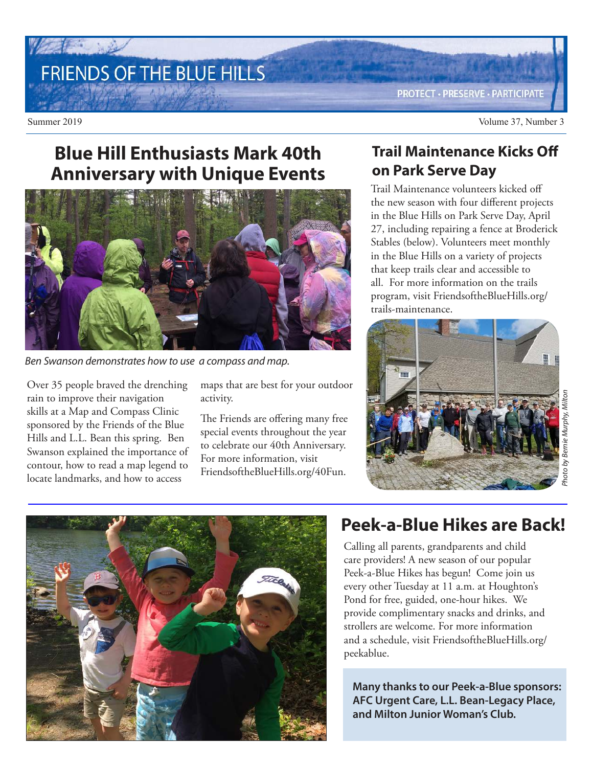# FRIENDS OF THE BLUE HILLS

**PROTECT · PRESERVE · PARTICIPATE** 

## **Blue Hill Enthusiasts Mark 40th Anniversary with Unique Events**



Ben Swanson demonstrates how to use a compass and map.

Over 35 people braved the drenching rain to improve their navigation skills at a Map and Compass Clinic sponsored by the Friends of the Blue Hills and L.L. Bean this spring. Ben Swanson explained the importance of contour, how to read a map legend to locate landmarks, and how to access

maps that are best for your outdoor activity.

The Friends are offering many free special events throughout the year to celebrate our 40th Anniversary. For more information, visit FriendsoftheBlueHills.org/40Fun.

## **Trail Maintenance Kicks Off on Park Serve Day**

Trail Maintenance volunteers kicked off the new season with four different projects in the Blue Hills on Park Serve Day, April 27, including repairing a fence at Broderick Stables (below). Volunteers meet monthly in the Blue Hills on a variety of projects that keep trails clear and accessible to all. For more information on the trails program, visit FriendsoftheBlueHills.org/ trails-maintenance.





## **Peek-a-Blue Hikes are Back!**

Calling all parents, grandparents and child care providers! A new season of our popular Peek-a-Blue Hikes has begun! Come join us every other Tuesday at 11 a.m. at Houghton's Pond for free, guided, one-hour hikes. We provide complimentary snacks and drinks, and strollers are welcome. For more information and a schedule, visit FriendsoftheBlueHills.org/ peekablue.

**Many thanks to our Peek-a-Blue sponsors: AFC Urgent Care, L.L. Bean-Legacy Place, and Milton Junior Woman's Club.**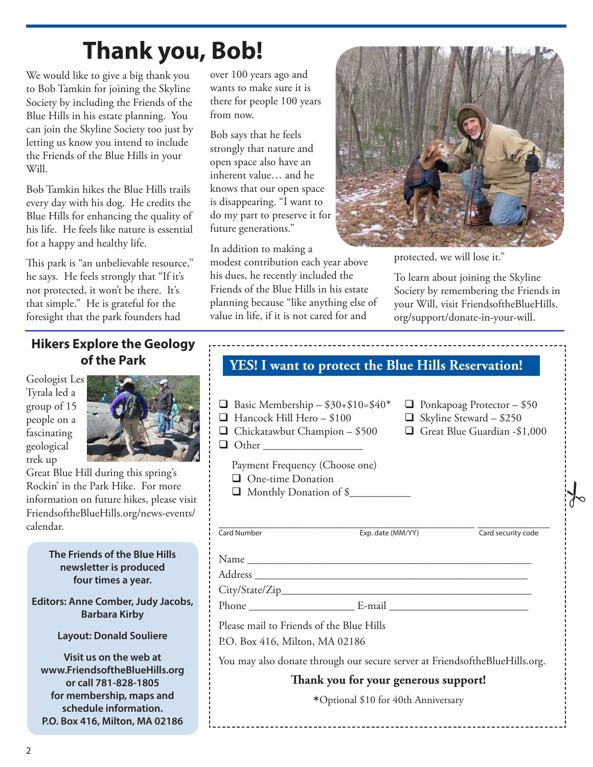# **Thank you, Bob!**

We would like to give a big thank you to Bob Tamkin for joining the Skyline Society by including the Friends of the Blue Hills in his estate planning. You can join the Skyline Society too just by letting us know you intend to include the Friends of the Blue Hills in your Will.

Bob Tamkin hikes the Blue Hills trails every day with his dog. He credits the Blue Hills for enhancing the quality of his life. He feels like nature is essential for a happy and healthy life.

This park is "an unbelievable resource,'' he says. He feels strongly that "If it's not protected, it won't be there. It's that simple." He is grateful for the foresight that the park founders had

over 100 years ago and wants to make sure it is there for people 100 years from now.

Bob says that he feels strongly that nature and open space also have an inherent value… and he knows that our open space is disappearing. "I want to do my part to preserve it for future generations."

In addition to making a modest contribution each year above his dues, he recently included the Friends of the Blue Hills in his estate planning because "like anything else of value in life, if it is not cared for and



protected, we will lose it."

To learn about joining the Skyline Society by remembering the Friends in your Will, visit FriendsoftheBlueHills. org/support/donate-in-your-will.

## **Hikers Explore the Geology of the Park**

Geologist Les Tyrala led a group of 15 people on a fascinating geological trek up



Great Blue Hill during this spring's Rockin' in the Park Hike. For more information on future hikes, please visit FriendsoftheBlueHills.org/news-events/ calendar.

#### **The Friends of the Blue Hills newsletter is produced four times a year.**

**Editors: Anne Comber, Judy Jacobs, Barbara Kirby**

#### **Layout: Donald Souliere**

**Visit us on the web at www.FriendsoftheBlueHills.org or call 781-828-1805 for membership, maps and schedule information. P.O. Box 416, Milton, MA 02186**

## **YES! I want to protect the Blue Hills Reservation!**

- Basic Membership \$30+\$10=\$40\* Ponkapoag Protector \$50<br>■ Hancock Hill Hero \$100 Skyline Steward \$250
- $\Box$  Hancock Hill Hero \$100
- $\Box$  Chickatawbut Champion \$500  $\Box$  Great Blue Guardian -\$1,000
- Other \_\_\_\_\_\_\_\_\_\_\_\_\_\_\_\_\_\_
	- Payment Frequency (Choose one)
- **Q** One-time Donation
	- $\Box$  Monthly Donation of \$



## \_\_\_\_\_\_\_\_\_\_\_\_\_\_\_\_\_\_\_\_\_\_\_\_\_\_\_\_\_\_\_\_\_\_\_\_\_\_\_\_\_\_\_\_\_\_ \_\_\_\_\_\_\_\_\_\_\_\_\_

Card Number Exp. date (MM/YY) Card security code

 $\frac{1}{6}$ 

Name \_\_\_\_\_\_\_\_\_\_\_\_\_\_\_\_\_\_\_\_\_\_\_\_\_\_\_\_\_\_\_\_\_\_\_\_\_\_\_\_\_\_\_\_\_\_\_\_\_\_\_

#### Address \_\_\_\_\_\_\_\_\_\_\_\_\_\_\_\_\_\_\_\_\_\_\_\_\_\_\_\_\_\_\_\_\_\_\_\_\_\_\_\_\_\_\_\_\_\_\_\_\_

City/State/Zip\_\_\_\_\_\_\_\_\_\_\_\_\_\_\_\_\_\_\_\_\_\_\_\_\_\_\_\_\_\_\_\_\_\_\_\_\_\_\_\_\_\_\_\_\_

Phone \_\_\_\_\_\_\_\_\_\_\_\_\_\_\_\_\_\_\_ E-mail \_\_\_\_\_\_\_\_\_\_\_\_\_\_\_\_\_\_\_\_\_\_\_\_\_

Please mail to Friends of the Blue Hills

P.O. Box 416, Milton, MA 02186

You may also donate through our secure server at FriendsoftheBlueHills.org.

#### **Thank you for your generous support!**

**\***Optional \$10 for 40th Anniversary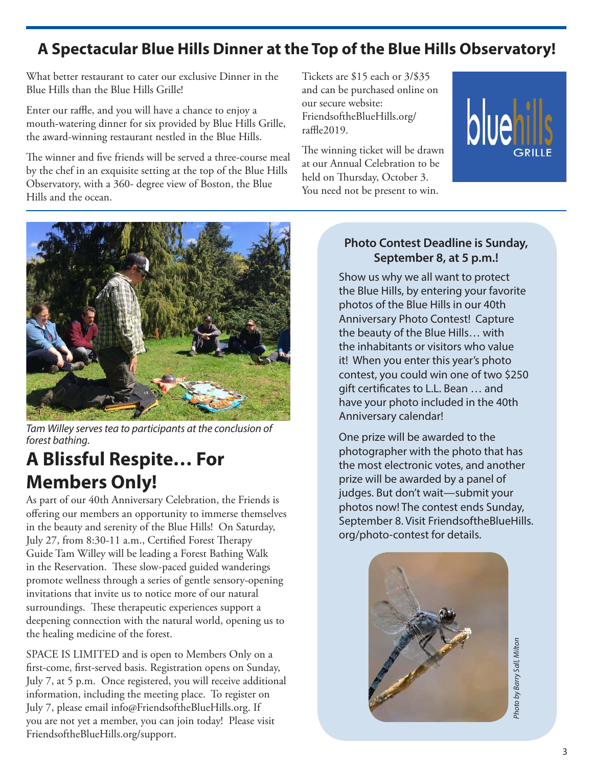## **A Spectacular Blue Hills Dinner at the Top of the Blue Hills Observatory!**

What better restaurant to cater our exclusive Dinner in the Blue Hills than the Blue Hills Grille!

Enter our raffle, and you will have a chance to enjoy a mouth-watering dinner for six provided by Blue Hills Grille, the award-winning restaurant nestled in the Blue Hills.

The winner and five friends will be served a three-course meal by the chef in an exquisite setting at the top of the Blue Hills Observatory, with a 360- degree view of Boston, the Blue Hills and the ocean.

Tickets are \$15 each or 3/\$35 and can be purchased online on our secure website: FriendsoftheBlueHills.org/ raffle2019.

The winning ticket will be drawn at our Annual Celebration to be held on Thursday, October 3. You need not be present to win.





Tam Willey serves tea to participants at the conclusion of forest bathing.

## **A Blissful Respite… For Members Only!**

As part of our 40th Anniversary Celebration, the Friends is offering our members an opportunity to immerse themselves in the beauty and serenity of the Blue Hills! On Saturday, July 27, from 8:30-11 a.m., Certified Forest Therapy Guide Tam Willey will be leading a Forest Bathing Walk in the Reservation. These slow-paced guided wanderings promote wellness through a series of gentle sensory-opening invitations that invite us to notice more of our natural surroundings. These therapeutic experiences support a deepening connection with the natural world, opening us to the healing medicine of the forest.

SPACE IS LIMITED and is open to Members Only on a first-come, first-served basis. Registration opens on Sunday, July 7, at 5 p.m. Once registered, you will receive additional information, including the meeting place. To register on July 7, please email info@FriendsoftheBlueHills.org. If you are not yet a member, you can join today! Please visit FriendsoftheBlueHills.org/support.

### **Photo Contest Deadline is Sunday, September 8, at 5 p.m.!**

Show us why we all want to protect the Blue Hills, by entering your favorite photos of the Blue Hills in our 40th Anniversary Photo Contest! Capture the beauty of the Blue Hills… with the inhabitants or visitors who value it! When you enter this year's photo contest, you could win one of two \$250 gift certificates to L.L. Bean … and have your photo included in the 40th Anniversary calendar!

One prize will be awarded to the photographer with the photo that has the most electronic votes, and another prize will be awarded by a panel of judges. But don't wait—submit your photos now! The contest ends Sunday, September 8. Visit FriendsoftheBlueHills. org/photo-contest for details.